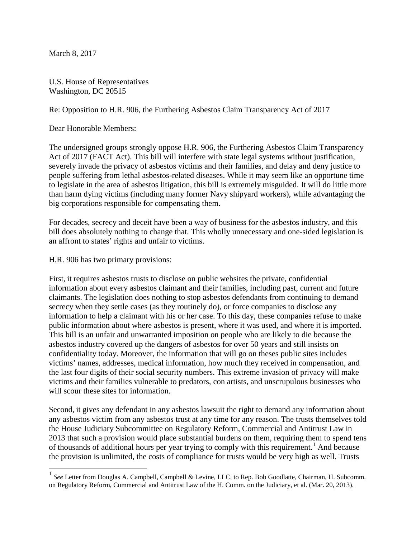March 8, 2017

U.S. House of Representatives Washington, DC 20515

Re: Opposition to H.R. 906, the Furthering Asbestos Claim Transparency Act of 2017

Dear Honorable Members:

The undersigned groups strongly oppose H.R. 906, the Furthering Asbestos Claim Transparency Act of 2017 (FACT Act). This bill will interfere with state legal systems without justification, severely invade the privacy of asbestos victims and their families, and delay and deny justice to people suffering from lethal asbestos-related diseases. While it may seem like an opportune time to legislate in the area of asbestos litigation, this bill is extremely misguided. It will do little more than harm dying victims (including many former Navy shipyard workers), while advantaging the big corporations responsible for compensating them.

For decades, secrecy and deceit have been a way of business for the asbestos industry, and this bill does absolutely nothing to change that. This wholly unnecessary and one-sided legislation is an affront to states' rights and unfair to victims.

H.R. 906 has two primary provisions:

First, it requires asbestos trusts to disclose on public websites the private, confidential information about every asbestos claimant and their families, including past, current and future claimants. The legislation does nothing to stop asbestos defendants from continuing to demand secrecy when they settle cases (as they routinely do), or force companies to disclose any information to help a claimant with his or her case. To this day, these companies refuse to make public information about where asbestos is present, where it was used, and where it is imported. This bill is an unfair and unwarranted imposition on people who are likely to die because the asbestos industry covered up the dangers of asbestos for over 50 years and still insists on confidentiality today. Moreover, the information that will go on theses public sites includes victims' names, addresses, medical information, how much they received in compensation, and the last four digits of their social security numbers. This extreme invasion of privacy will make victims and their families vulnerable to predators, con artists, and unscrupulous businesses who will scour these sites for information.

Second, it gives any defendant in any asbestos lawsuit the right to demand any information about any asbestos victim from any asbestos trust at any time for any reason. The trusts themselves told the House Judiciary Subcommittee on Regulatory Reform, Commercial and Antitrust Law in 2013 that such a provision would place substantial burdens on them, requiring them to spend tens of thousands of additional hours per year trying to comply with this requirement. [1](#page-0-0) And because the provision is unlimited, the costs of compliance for trusts would be very high as well. Trusts

<span id="page-0-1"></span><span id="page-0-0"></span><sup>&</sup>lt;sup>1</sup> See Letter from Douglas A. Campbell, Campbell & Levine, LLC, to Rep. Bob Goodlatte, Chairman, H. Subcomm. on Regulatory Reform, Commercial and Antitrust Law of the H. Comm. on the Judiciary, et al. (Mar. 20, 2013).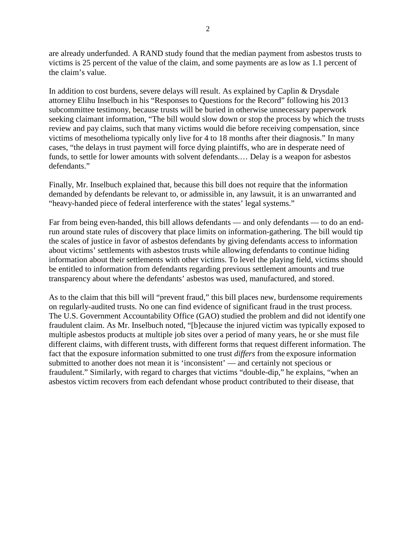are already underfunded. A RAND study found that the median payment from asbestos trusts to victims is 25 percent of the value of the claim, and some payments are aslow as 1.1 percent of the claim's value.

In addition to cost burdens, severe delays will result. As explained by Caplin & Drysdale attorney Elihu Inselbuch in his "Responses to Questions for the Record" following his 2013 subcommittee testimony, because trusts will be buried in otherwise unnecessary paperwork seeking claimant information, "The bill would slow down or stop the process by which the trusts review and pay claims, such that many victims would die before receiving compensation, since victims of mesothelioma typically only live for 4 to 18 months after their diagnosis." In many cases, "the delays in trust payment will force dying plaintiffs, who are in desperate need of funds, to settle for lower amounts with solvent defendants.… Delay is a weapon for asbestos defendants."

Finally, Mr. Inselbuch explained that, because this bill does not require that the information demanded by defendants be relevant to, or admissible in, any lawsuit, it is an unwarranted and "heavy-handed piece of federal interference with the states' legal systems."

Far from being even-handed, this bill allows defendants — and only defendants — to do an endrun around state rules of discovery that place limits on information-gathering. The bill would tip the scales of justice in favor of asbestos defendants by giving defendants access to information about victims' settlements with asbestos trusts while allowing defendants to continue hiding information about their settlements with other victims. To level the playing field, victims should be entitled to information from defendants regarding previous settlement amounts and true transparency about where the defendants' asbestos was used, manufactured, and stored.

As to the claim that this bill will "prevent fraud," this bill places new, burdensome requirements on regularly-audited trusts. No one can find evidence of significant fraud in the trust process. The U.S. Government Accountability Office (GAO) studied the problem and did not identify one fraudulent claim. As Mr. Inselbuch noted, "[b]ecause the injured victim was typically exposed to multiple asbestos products at multiple job sites over a period of many years, he or she must file different claims, with different trusts, with different forms that request different information. The fact that the exposure information submitted to one trust *differs* from the exposure information submitted to another does not mean it is 'inconsistent' — and certainly not specious or fraudulent." Similarly, with regard to charges that victims "double-dip," he explains, "when an asbestos victim recovers from each defendant whose product contributed to their disease, that